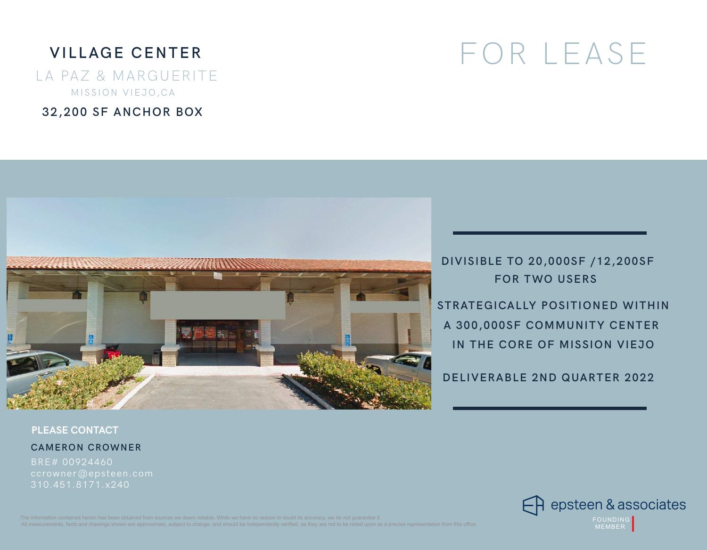# **VILLAGE CENTER**

LA PAZ & MARGUERITE MISSION VIEJO,CA

**32,200 SF ANCHOR BOX** 

# FOR LEASE



**DIVISIBLE TO 20,000SF /12,200SF FOR TWO USERS** 

**STRATEGICALLY POSITIONED WITHIN A 300,000SF COMMUNITY CENTER IN THE CORE OF MISSION VIEJO** 

**DELIVERABLE 2ND QUARTER 2022**

**PLEASE CONTACT**

**CAMERON CROWNER** 

BRE# 00924460 310.451.8171.x240

> A epsteen & associates FOUNDING MEMBER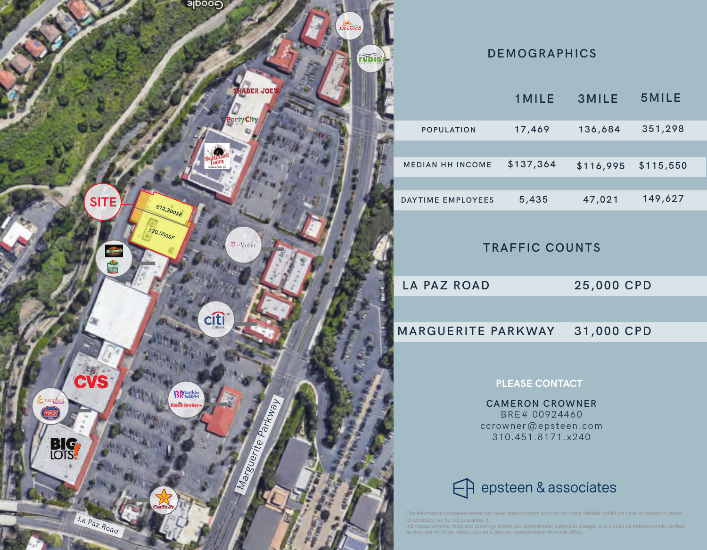

## **DEMOGRAPHICS**

|                         | <b>1MILE</b> | <b>3MILE</b> | 5MILE     |  |
|-------------------------|--------------|--------------|-----------|--|
| <b>POPULATION</b>       | 17,469       | 136,684      | 351,298   |  |
|                         |              |              |           |  |
| <b>MEDIAN HH INCOME</b> | \$137,364    | \$116,995    | \$115,550 |  |
|                         |              |              |           |  |
| DAYTIME EMPLOYEES       | 5,435        | 47,021       | 149,627   |  |

## **TRAFFIC COUNTS**

**LA PAZ ROAD** 

**25,000 CPD**

#### **MARGUERITE PARKWAY 31,000 CPD**

### **PLEASE CONTACT**

**CAMERON CROWNER**  BRE# 00924460 ccrowner@epsteen.com 310.451.8171.x240

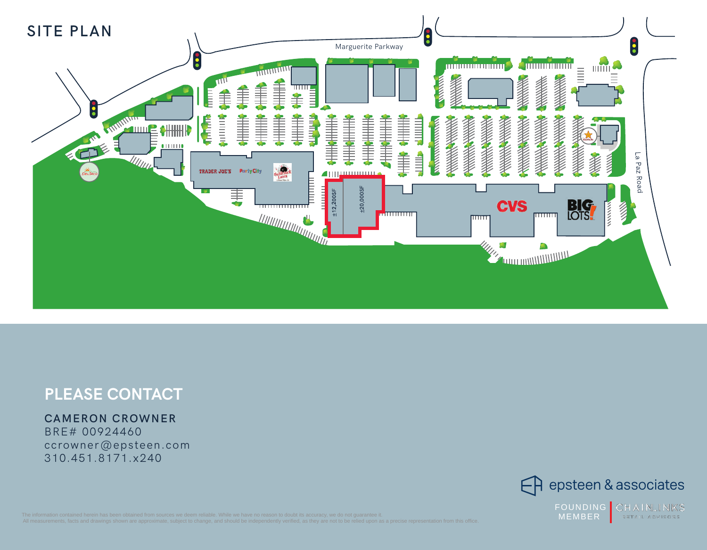

# **PLEASE CONTACT**

## **CAMERON CROWNER**

BRE# 00924460 ccrowner@epsteen.com 310.451.8171.x240

 $\bigoplus$  epsteen & associates

CHAINLINKS FOUNDING MEMBER RETAIL ADVISORS